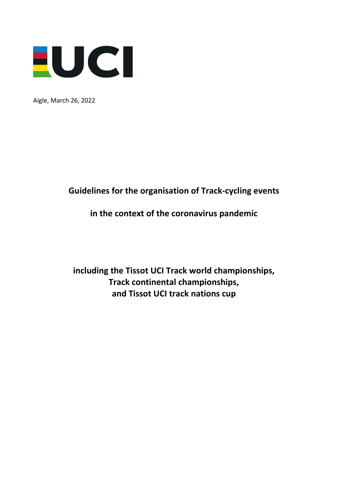

Aigle, March 26, 2022

# **Guidelines for the organisation of Track-cycling events**

# **in the context of the coronavirus pandemic**

**including the Tissot UCI Track world championships, Track continental championships, and Tissot UCI track nations cup**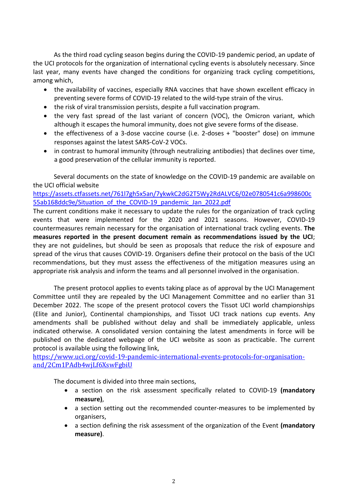As the third road cycling season begins during the COVID-19 pandemic period, an update of the UCI protocols for the organization of international cycling events is absolutely necessary. Since last year, many events have changed the conditions for organizing track cycling competitions, among which,

- the availability of vaccines, especially RNA vaccines that have shown excellent efficacy in preventing severe forms of COVID-19 related to the wild-type strain of the virus.
- the risk of viral transmission persists, despite a full vaccination program.
- the very fast spread of the last variant of concern (VOC), the Omicron variant, which although it escapes the humoral immunity, does not give severe forms of the disease.
- the effectiveness of a 3-dose vaccine course (i.e. 2-doses + "booster" dose) on immune responses against the latest SARS-CoV-2 VOCs.
- in contrast to humoral immunity (through neutralizing antibodies) that declines over time, a good preservation of the cellular immunity is reported.

Several documents on the state of knowledge on the COVID-19 pandemic are available on the UCI official website

[https://assets.ctfassets.net/761l7gh5x5an/7ykwkC2dG2T5Wy2RdALVC6/02e0780541c6a998600c](https://assets.ctfassets.net/761l7gh5x5an/7ykwkC2dG2T5Wy2RdALVC6/02e0780541c6a998600c55ab168ddc9e/Situation_of_the_COVID-19_pandemic_Jan_2022.pdf) [55ab168ddc9e/Situation\\_of\\_the\\_COVID-19\\_pandemic\\_Jan\\_2022.pdf](https://assets.ctfassets.net/761l7gh5x5an/7ykwkC2dG2T5Wy2RdALVC6/02e0780541c6a998600c55ab168ddc9e/Situation_of_the_COVID-19_pandemic_Jan_2022.pdf)

The current conditions make it necessary to update the rules for the organization of track cycling events that were implemented for the 2020 and 2021 seasons. However, COVID-19 countermeasures remain necessary for the organisation of international track cycling events. **The measures reported in the present document remain as recommendations issued by the UCI**; they are not guidelines, but should be seen as proposals that reduce the risk of exposure and spread of the virus that causes COVID-19. Organisers define their protocol on the basis of the UCI recommendations, but they must assess the effectiveness of the mitigation measures using an appropriate risk analysis and inform the teams and all personnel involved in the organisation.

The present protocol applies to events taking place as of approval by the UCI Management Committee until they are repealed by the UCI Management Committee and no earlier than 31 December 2022. The scope of the present protocol covers the Tissot UCI world championships (Elite and Junior), Continental championships, and Tissot UCI track nations cup events. Any amendments shall be published without delay and shall be immediately applicable, unless indicated otherwise. A consolidated version containing the latest amendments in force will be published on the dedicated webpage of the UCI website as soon as practicable. The current protocol is available using the following link,

[https://www.uci.org/covid-19-pandemic-international-events-protocols-for-organisation](https://www.uci.org/covid-19-pandemic-international-events-protocols-for-organisation-and/2Cm1PAdb4wjLf6XswFgbiU)[and/2Cm1PAdb4wjLf6XswFgbiU](https://www.uci.org/covid-19-pandemic-international-events-protocols-for-organisation-and/2Cm1PAdb4wjLf6XswFgbiU)

The document is divided into three main sections,

- a section on the risk assessment specifically related to COVID-19 **(mandatory measure)**,
- a section setting out the recommended counter-measures to be implemented by organisers,
- a section defining the risk assessment of the organization of the Event **(mandatory measure)**.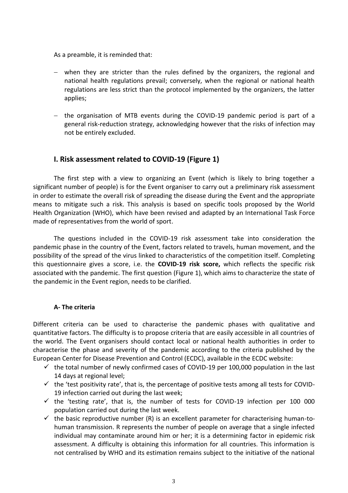As a preamble, it is reminded that:

- − when they are stricter than the rules defined by the organizers, the regional and national health regulations prevail; conversely, when the regional or national health regulations are less strict than the protocol implemented by the organizers, the latter applies;
- − the organisation of MTB events during the COVID-19 pandemic period is part of a general risk-reduction strategy, acknowledging however that the risks of infection may not be entirely excluded.

# **I. Risk assessment related to COVID-19 (Figure 1)**

The first step with a view to organizing an Event (which is likely to bring together a significant number of people) is for the Event organiser to carry out a preliminary risk assessment in order to estimate the overall risk of spreading the disease during the Event and the appropriate means to mitigate such a risk. This analysis is based on specific tools proposed by the World Health Organization (WHO), which have been revised and adapted by an International Task Force made of representatives from the world of sport.

The questions included in the COVID-19 risk assessment take into consideration the pandemic phase in the country of the Event, factors related to travels, human movement, and the possibility of the spread of the virus linked to characteristics of the competition itself. Completing this questionnaire gives a score, i.e. the **COVID-19 risk score,** which reflects the specific risk associated with the pandemic. The first question (Figure 1), which aims to characterize the state of the pandemic in the Event region, needs to be clarified.

#### **A- The criteria**

Different criteria can be used to characterise the pandemic phases with qualitative and quantitative factors. The difficulty is to propose criteria that are easily accessible in all countries of the world. The Event organisers should contact local or national health authorities in order to characterise the phase and severity of the pandemic according to the criteria published by the European Center for Disease Prevention and Control (ECDC), available in the ECDC website:

- $\checkmark$  the total number of newly confirmed cases of COVID-19 per 100,000 population in the last 14 days at regional level;
- $\checkmark$  the 'test positivity rate', that is, the percentage of positive tests among all tests for COVID-19 infection carried out during the last week;
- $\checkmark$  the 'testing rate', that is, the number of tests for COVID-19 infection per 100 000 population carried out during the last week.
- $\checkmark$  the basic reproductive number (R) is an excellent parameter for characterising human-tohuman transmission. R represents the number of people on average that a single infected individual may contaminate around him or her; it is a determining factor in epidemic risk assessment. A difficulty is obtaining this information for all countries. This information is not centralised by WHO and its estimation remains subject to the initiative of the national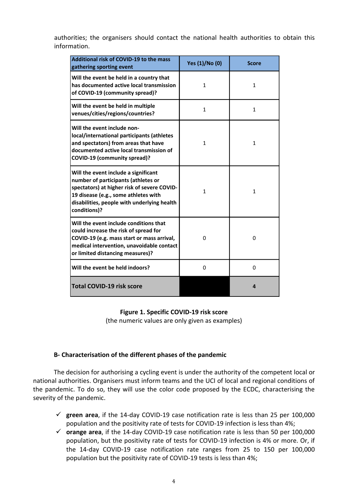authorities; the organisers should contact the national health authorities to obtain this information.

| Additional risk of COVID-19 to the mass<br>gathering sporting event                                                                                                                                                               | Yes (1)/No (0) | <b>Score</b> |  |
|-----------------------------------------------------------------------------------------------------------------------------------------------------------------------------------------------------------------------------------|----------------|--------------|--|
| Will the event be held in a country that<br>has documented active local transmission<br>of COVID-19 (community spread)?                                                                                                           | $\mathbf{1}$   | $\mathbf{1}$ |  |
| Will the event be held in multiple<br>venues/cities/regions/countries?                                                                                                                                                            | $\mathbf{1}$   | 1            |  |
| Will the event include non-<br>local/international participants (athletes<br>and spectators) from areas that have<br>documented active local transmission of<br><b>COVID-19 (community spread)?</b>                               | 1              | 1            |  |
| Will the event include a significant<br>number of participants (athletes or<br>spectators) at higher risk of severe COVID-<br>19 disease (e.g., some athletes with<br>disabilities, people with underlying health<br>conditions)? | $\mathbf{1}$   | $\mathbf{1}$ |  |
| Will the event include conditions that<br>could increase the risk of spread for<br>COVID-19 (e.g. mass start or mass arrival,<br>medical intervention, unavoidable contact<br>or limited distancing measures)?                    | 0              | 0            |  |
| Will the event be held indoors?                                                                                                                                                                                                   | 0              | $\mathbf 0$  |  |
| <b>Total COVID-19 risk score</b>                                                                                                                                                                                                  |                | 4            |  |

#### **Figure 1. Specific COVID-19 risk score**

(the numeric values are only given as examples)

#### **B- Characterisation of the different phases of the pandemic**

The decision for authorising a cycling event is under the authority of the competent local or national authorities. Organisers must inform teams and the UCI of local and regional conditions of the pandemic. To do so, they will use the color code proposed by the ECDC, characterising the severity of the pandemic.

- ✓ **green area**, if the 14-day COVID-19 case notification rate is less than 25 per 100,000 population and the positivity rate of tests for COVID-19 infection is less than 4%;
- ✓ **orange area**, if the 14-day COVID-19 case notification rate is less than 50 per 100,000 population, but the positivity rate of tests for COVID-19 infection is 4% or more. Or, if the 14-day COVID-19 case notification rate ranges from 25 to 150 per 100,000 population but the positivity rate of COVID-19 tests is less than 4%;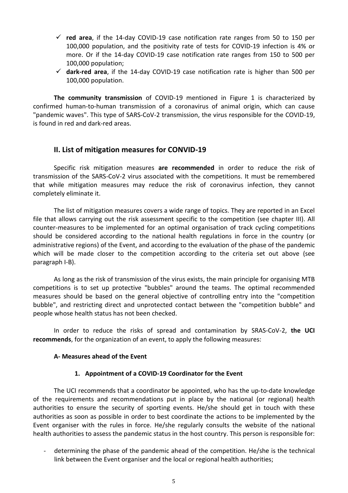- ✓ **red area**, if the 14-day COVID-19 case notification rate ranges from 50 to 150 per 100,000 population, and the positivity rate of tests for COVID-19 infection is 4% or more. Or if the 14-day COVID-19 case notification rate ranges from 150 to 500 per 100,000 population;
- ✓ **dark-red area**, if the 14-day COVID-19 case notification rate is higher than 500 per 100,000 population.

**The community transmission** of COVID-19 mentioned in Figure 1 is characterized by confirmed human-to-human transmission of a coronavirus of animal origin, which can cause "pandemic waves". This type of SARS-CoV-2 transmission, the virus responsible for the COVID-19, is found in red and dark-red areas.

# **II. List of mitigation measures for CONVID-19**

Specific risk mitigation measures **are recommended** in order to reduce the risk of transmission of the SARS-CoV-2 virus associated with the competitions. It must be remembered that while mitigation measures may reduce the risk of coronavirus infection, they cannot completely eliminate it.

The list of mitigation measures covers a wide range of topics. They are reported in an Excel file that allows carrying out the risk assessment specific to the competition (see chapter III). All counter-measures to be implemented for an optimal organisation of track cycling competitions should be considered according to the national health regulations in force in the country (or administrative regions) of the Event, and according to the evaluation of the phase of the pandemic which will be made closer to the competition according to the criteria set out above (see paragraph I-B).

As long as the risk of transmission of the virus exists, the main principle for organising MTB competitions is to set up protective "bubbles" around the teams. The optimal recommended measures should be based on the general objective of controlling entry into the "competition bubble", and restricting direct and unprotected contact between the "competition bubble" and people whose health status has not been checked.

In order to reduce the risks of spread and contamination by SRAS-CoV-2, **the UCI recommends**, for the organization of an event, to apply the following measures:

#### **A- Measures ahead of the Event**

#### **1. Appointment of a COVID-19 Coordinator for the Event**

The UCI recommends that a coordinator be appointed, who has the up-to-date knowledge of the requirements and recommendations put in place by the national (or regional) health authorities to ensure the security of sporting events. He/she should get in touch with these authorities as soon as possible in order to best coordinate the actions to be implemented by the Event organiser with the rules in force. He/she regularly consults the website of the national health authorities to assess the pandemic status in the host country. This person is responsible for:

- determining the phase of the pandemic ahead of the competition. He/she is the technical link between the Event organiser and the local or regional health authorities;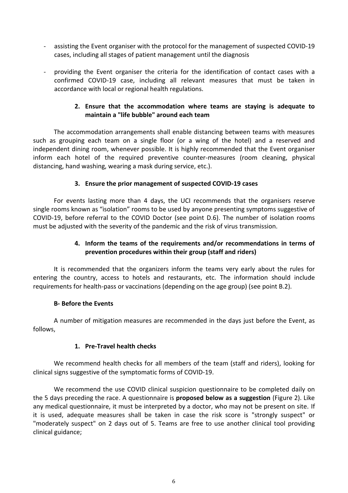- assisting the Event organiser with the protocol for the management of suspected COVID-19 cases, including all stages of patient management until the diagnosis
- providing the Event organiser the criteria for the identification of contact cases with a confirmed COVID-19 case, including all relevant measures that must be taken in accordance with local or regional health regulations.

# **2. Ensure that the accommodation where teams are staying is adequate to maintain a "life bubble" around each team**

The accommodation arrangements shall enable distancing between teams with measures such as grouping each team on a single floor (or a wing of the hotel) and a reserved and independent dining room, whenever possible. It is highly recommended that the Event organiser inform each hotel of the required preventive counter-measures (room cleaning, physical distancing, hand washing, wearing a mask during service, etc.).

# **3. Ensure the prior management of suspected COVID-19 cases**

For events lasting more than 4 days, the UCI recommends that the organisers reserve single rooms known as "isolation" rooms to be used by anyone presenting symptoms suggestive of COVID-19, before referral to the COVID Doctor (see point D.6). The number of isolation rooms must be adjusted with the severity of the pandemic and the risk of virus transmission.

# **4. Inform the teams of the requirements and/or recommendations in terms of prevention procedures within their group (staff and riders)**

It is recommended that the organizers inform the teams very early about the rules for entering the country, access to hotels and restaurants, etc. The information should include requirements for health-pass or vaccinations (depending on the age group) (see point B.2).

# **B- Before the Events**

A number of mitigation measures are recommended in the days just before the Event, as follows,

# **1. Pre-Travel health checks**

We recommend health checks for all members of the team (staff and riders), looking for clinical signs suggestive of the symptomatic forms of COVID-19.

We recommend the use COVID clinical suspicion questionnaire to be completed daily on the 5 days preceding the race. A questionnaire is **proposed below as a suggestion** (Figure 2). Like any medical questionnaire, it must be interpreted by a doctor, who may not be present on site. If it is used, adequate measures shall be taken in case the risk score is "strongly suspect" or "moderately suspect" on 2 days out of 5. Teams are free to use another clinical tool providing clinical guidance;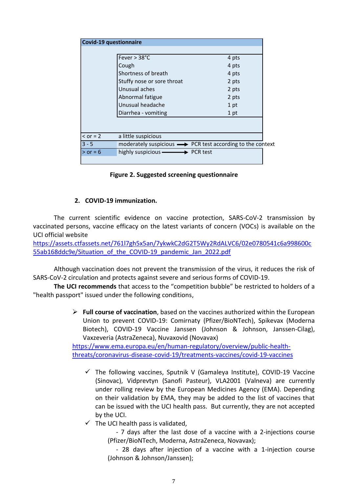| <b>Covid-19 questionnaire</b> |                                                                           |       |  |  |  |
|-------------------------------|---------------------------------------------------------------------------|-------|--|--|--|
|                               |                                                                           |       |  |  |  |
|                               | Fever $> 38^{\circ}$ C                                                    | 4 pts |  |  |  |
|                               | Cough                                                                     | 4 pts |  |  |  |
|                               | Shortness of breath                                                       | 4 pts |  |  |  |
|                               | Stuffy nose or sore throat                                                | 2 pts |  |  |  |
|                               | Unusual aches                                                             | 2 pts |  |  |  |
|                               | Abnormal fatigue                                                          | 2 pts |  |  |  |
|                               | Unusual headache                                                          | 1 pt  |  |  |  |
|                               | Diarrhea - vomiting                                                       | 1 pt  |  |  |  |
|                               |                                                                           |       |  |  |  |
|                               |                                                                           |       |  |  |  |
| $\le$ or = 2                  | a little suspicious                                                       |       |  |  |  |
| $3 - 5$                       | moderately suspicious $\longrightarrow$ PCR test according to the context |       |  |  |  |
| $>$ or = 6                    | highly suspicious $\longrightarrow$ PCR test                              |       |  |  |  |
|                               |                                                                           |       |  |  |  |

**Figure 2. Suggested screening questionnaire**

# **2. COVID-19 immunization.**

The current scientific evidence on vaccine protection, SARS-CoV-2 transmission by vaccinated persons, vaccine efficacy on the latest variants of concern (VOCs) is available on the UCI official website

[https://assets.ctfassets.net/761l7gh5x5an/7ykwkC2dG2T5Wy2RdALVC6/02e0780541c6a998600c](https://assets.ctfassets.net/761l7gh5x5an/7ykwkC2dG2T5Wy2RdALVC6/02e0780541c6a998600c55ab168ddc9e/Situation_of_the_COVID-19_pandemic_Jan_2022.pdf) [55ab168ddc9e/Situation\\_of\\_the\\_COVID-19\\_pandemic\\_Jan\\_2022.pdf](https://assets.ctfassets.net/761l7gh5x5an/7ykwkC2dG2T5Wy2RdALVC6/02e0780541c6a998600c55ab168ddc9e/Situation_of_the_COVID-19_pandemic_Jan_2022.pdf)

Although vaccination does not prevent the transmission of the virus, it reduces the risk of SARS-CoV-2 circulation and protects against severe and serious forms of COVID-19.

**The UCI recommends** that access to the "competition bubble" be restricted to holders of a "health passport" issued under the following conditions,

> ➢ **Full course of vaccination**, based on the vaccines authorized within the European Union to prevent COVID-19: Comirnaty (Pfizer/BioNTech), Spikevax (Moderna Biotech), COVID-19 Vaccine Janssen (Johnson & Johnson, Janssen-Cilag), Vaxzeveria (AstraZeneca), Nuvaxovid (Novavax)

[https://www.ema.europa.eu/en/human-regulatory/overview/public-health](https://www.ema.europa.eu/en/human-regulatory/overview/public-health-threats/coronavirus-disease-covid-19/treatments-vaccines/covid-19-vaccines)[threats/coronavirus-disease-covid-19/treatments-vaccines/covid-19-vaccines](https://www.ema.europa.eu/en/human-regulatory/overview/public-health-threats/coronavirus-disease-covid-19/treatments-vaccines/covid-19-vaccines)

- $\checkmark$  The following vaccines, Sputnik V (Gamaleya Institute), COVID-19 Vaccine (Sinovac), Vidprevtyn (Sanofi Pasteur), VLA2001 (Valneva) are currently under rolling review by the European Medicines Agency (EMA). Depending on their validation by EMA, they may be added to the list of vaccines that can be issued with the UCI health pass. But currently, they are not accepted by the UCI.
- $\checkmark$  The UCI health pass is validated,

- 7 days after the last dose of a vaccine with a 2-injections course (Pfizer/BioNTech, Moderna, AstraZeneca, Novavax);

- 28 days after injection of a vaccine with a 1-injection course (Johnson & Johnson/Janssen);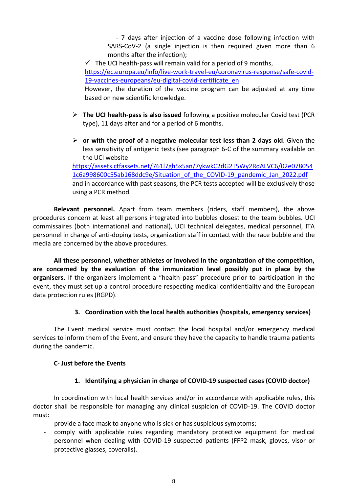- 7 days after injection of a vaccine dose following infection with SARS-CoV-2 (a single injection is then required given more than 6 months after the infection);

 $\checkmark$  The UCI health-pass will remain valid for a period of 9 months, [https://ec.europa.eu/info/live-work-travel-eu/coronavirus-response/safe-covid-](https://ec.europa.eu/info/live-work-travel-eu/coronavirus-response/safe-covid-19-vaccines-europeans/eu-digital-covid-certificate_en)[19-vaccines-europeans/eu-digital-covid-certificate\\_en](https://ec.europa.eu/info/live-work-travel-eu/coronavirus-response/safe-covid-19-vaccines-europeans/eu-digital-covid-certificate_en) However, the duration of the vaccine program can be adjusted at any time

based on new scientific knowledge.

- ➢ **The UCI health-pass is also issued** following a positive molecular Covid test (PCR type), 11 days after and for a period of 6 months.
- ➢ **or with the proof of a negative molecular test less than 2 days old**. Given the less sensitivity of antigenic tests (see paragraph 6-C of the summary available on the UCI website

[https://assets.ctfassets.net/761l7gh5x5an/7ykwkC2dG2T5Wy2RdALVC6/02e078054](https://assets.ctfassets.net/761l7gh5x5an/7ykwkC2dG2T5Wy2RdALVC6/02e0780541c6a998600c55ab168ddc9e/Situation_of_the_COVID-19_pandemic_Jan_2022.pdf) [1c6a998600c55ab168ddc9e/Situation\\_of\\_the\\_COVID-19\\_pandemic\\_Jan\\_2022.pdf](https://assets.ctfassets.net/761l7gh5x5an/7ykwkC2dG2T5Wy2RdALVC6/02e0780541c6a998600c55ab168ddc9e/Situation_of_the_COVID-19_pandemic_Jan_2022.pdf) and in accordance with past seasons, the PCR tests accepted will be exclusively those using a PCR method.

**Relevant personnel.** Apart from team members (riders, staff members), the above procedures concern at least all persons integrated into bubbles closest to the team bubbles. UCI commissaires (both international and national), UCI technical delegates, medical personnel, ITA personnel in charge of anti-doping tests, organization staff in contact with the race bubble and the media are concerned by the above procedures.

**All these personnel, whether athletes or involved in the organization of the competition, are concerned by the evaluation of the immunization level possibly put in place by the organisers.** If the organizers implement a "health pass" procedure prior to participation in the event, they must set up a control procedure respecting medical confidentiality and the European data protection rules (RGPD).

# **3. Coordination with the local health authorities (hospitals, emergency services)**

The Event medical service must contact the local hospital and/or emergency medical services to inform them of the Event, and ensure they have the capacity to handle trauma patients during the pandemic.

# **C- Just before the Events**

# **1. Identifying a physician in charge of COVID-19 suspected cases (COVID doctor)**

In coordination with local health services and/or in accordance with applicable rules, this doctor shall be responsible for managing any clinical suspicion of COVID-19. The COVID doctor must:

- provide a face mask to anyone who is sick or has suspicious symptoms;
- comply with applicable rules regarding mandatory protective equipment for medical personnel when dealing with COVID-19 suspected patients (FFP2 mask, gloves, visor or protective glasses, coveralls).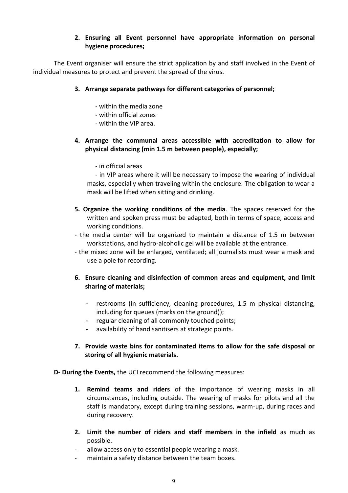# **2. Ensuring all Event personnel have appropriate information on personal hygiene procedures;**

The Event organiser will ensure the strict application by and staff involved in the Event of individual measures to protect and prevent the spread of the virus.

#### **3. Arrange separate pathways for different categories of personnel;**

- within the media zone
- within official zones
- within the VIP area.

# **4. Arrange the communal areas accessible with accreditation to allow for physical distancing (min 1.5 m between people), especially;**

- in official areas

- in VIP areas where it will be necessary to impose the wearing of individual masks, especially when traveling within the enclosure. The obligation to wear a mask will be lifted when sitting and drinking.

- **5. Organize the working conditions of the media**. The spaces reserved for the written and spoken press must be adapted, both in terms of space, access and working conditions.
- the media center will be organized to maintain a distance of 1.5 m between workstations, and hydro-alcoholic gel will be available at the entrance.
- the mixed zone will be enlarged, ventilated; all journalists must wear a mask and use a pole for recording.

# **6. Ensure cleaning and disinfection of common areas and equipment, and limit sharing of materials;**

- restrooms (in sufficiency, cleaning procedures, 1.5 m physical distancing, including for queues (marks on the ground));
- regular cleaning of all commonly touched points;
- availability of hand sanitisers at strategic points.

# **7. Provide waste bins for contaminated items to allow for the safe disposal or storing of all hygienic materials.**

**D- During the Events,** the UCI recommend the following measures:

- **1. Remind teams and riders** of the importance of wearing masks in all circumstances, including outside. The wearing of masks for pilots and all the staff is mandatory, except during training sessions, warm-up, during races and during recovery.
- **2. Limit the number of riders and staff members in the infield** as much as possible.
- allow access only to essential people wearing a mask.
- maintain a safety distance between the team boxes.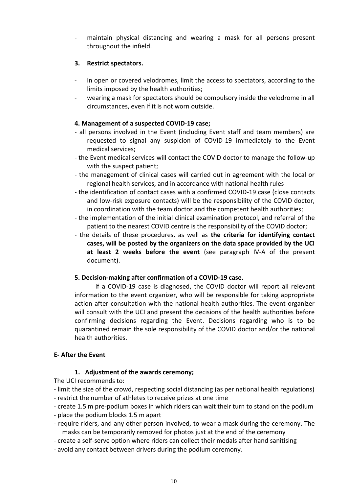maintain physical distancing and wearing a mask for all persons present throughout the infield.

#### **3. Restrict spectators.**

- in open or covered velodromes, limit the access to spectators, according to the limits imposed by the health authorities;
- wearing a mask for spectators should be compulsory inside the velodrome in all circumstances, even if it is not worn outside.

# **4. Management of a suspected COVID-19 case;**

- all persons involved in the Event (including Event staff and team members) are requested to signal any suspicion of COVID-19 immediately to the Event medical services;
- the Event medical services will contact the COVID doctor to manage the follow-up with the suspect patient;
- the management of clinical cases will carried out in agreement with the local or regional health services, and in accordance with national health rules
- the identification of contact cases with a confirmed COVID-19 case (close contacts and low-risk exposure contacts) will be the responsibility of the COVID doctor, in coordination with the team doctor and the competent health authorities;
- the implementation of the initial clinical examination protocol, and referral of the patient to the nearest COVID centre is the responsibility of the COVID doctor;
- the details of these procedures, as well as **the criteria for identifying contact cases, will be posted by the organizers on the data space provided by the UCI at least 2 weeks before the event** (see paragraph IV-A of the present document).

# **5. Decision-making after confirmation of a COVID-19 case.**

If a COVID-19 case is diagnosed, the COVID doctor will report all relevant information to the event organizer, who will be responsible for taking appropriate action after consultation with the national health authorities. The event organizer will consult with the UCI and present the decisions of the health authorities before confirming decisions regarding the Event. Decisions regarding who is to be quarantined remain the sole responsibility of the COVID doctor and/or the national health authorities.

# **E- After the Event**

# **1. Adjustment of the awards ceremony;**

The UCI recommends to:

- limit the size of the crowd, respecting social distancing (as per national health regulations) - restrict the number of athletes to receive prizes at one time
- create 1.5 m pre-podium boxes in which riders can wait their turn to stand on the podium
- place the podium blocks 1.5 m apart
- require riders, and any other person involved, to wear a mask during the ceremony. The masks can be temporarily removed for photos just at the end of the ceremony
- create a self-serve option where riders can collect their medals after hand sanitising
- avoid any contact between drivers during the podium ceremony.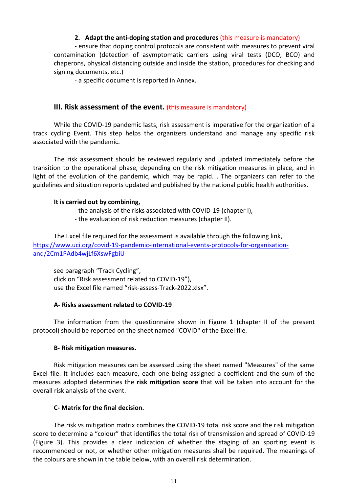#### **2. Adapt the anti-doping station and procedures** (this measure is mandatory)

- ensure that doping control protocols are consistent with measures to prevent viral contamination (detection of asymptomatic carriers using viral tests (DCO, BCO) and chaperons, physical distancing outside and inside the station, procedures for checking and signing documents, etc.)

- a specific document is reported in Annex.

#### **III. Risk assessment of the event.** (this measure is mandatory)

While the COVID-19 pandemic lasts, risk assessment is imperative for the organization of a track cycling Event. This step helps the organizers understand and manage any specific risk associated with the pandemic.

The risk assessment should be reviewed regularly and updated immediately before the transition to the operational phase, depending on the risk mitigation measures in place, and in light of the evolution of the pandemic, which may be rapid. . The organizers can refer to the guidelines and situation reports updated and published by the national public health authorities.

#### **It is carried out by combining,**

- the analysis of the risks associated with COVID-19 (chapter I),
- the evaluation of risk reduction measures (chapter II).

The Excel file required for the assessment is available through the following link, [https://www.uci.org/covid-19-pandemic-international-events-protocols-for-organisation](https://www.uci.org/covid-19-pandemic-international-events-protocols-for-organisation-and/2Cm1PAdb4wjLf6XswFgbiU)[and/2Cm1PAdb4wjLf6XswFgbiU](https://www.uci.org/covid-19-pandemic-international-events-protocols-for-organisation-and/2Cm1PAdb4wjLf6XswFgbiU)

see paragraph "Track Cycling", click on "Risk assessment related to COVID-19"), use the Excel file named "risk-assess-Track-2022.xlsx".

#### **A- Risks assessment related to COVID-19**

The information from the questionnaire shown in Figure 1 (chapter II of the present protocol) should be reported on the sheet named "COVID" of the Excel file.

#### **B- Risk mitigation measures.**

Risk mitigation measures can be assessed using the sheet named "Measures" of the same Excel file. It includes each measure, each one being assigned a coefficient and the sum of the measures adopted determines the **risk mitigation score** that will be taken into account for the overall risk analysis of the event.

#### **C- Matrix for the final decision.**

The risk vs mitigation matrix combines the COVID-19 total risk score and the risk mitigation score to determine a "colour" that identifies the total risk of transmission and spread of COVID-19 (Figure 3). This provides a clear indication of whether the staging of an sporting event is recommended or not, or whether other mitigation measures shall be required. The meanings of the colours are shown in the table below, with an overall risk determination.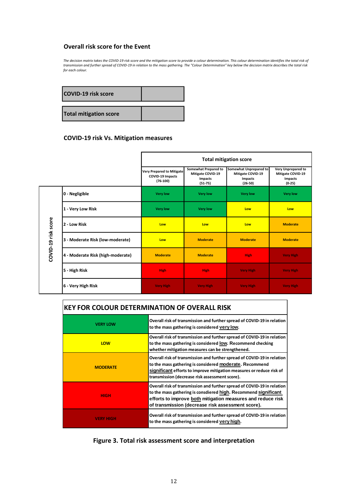#### **Overall risk score for the Event**

The decision matrix takes the COVID-19 risk score and the mitigation score to provide a colour determination. This colour determination identifies the total risk of transmission and further spread of COVID-19 in relation to the mass gathering. The "Colour Determination" key below the decision matrix describes the total risk for each colour.

| <b>COVID-19 risk score</b>    |  |
|-------------------------------|--|
| <b>Total mitigation score</b> |  |

#### **COVID-19 risk Vs. Mitigation measures**

|                     |                                   | <b>Total mitigation score</b>                                             |                                                                     |                                                                            |                                                                              |
|---------------------|-----------------------------------|---------------------------------------------------------------------------|---------------------------------------------------------------------|----------------------------------------------------------------------------|------------------------------------------------------------------------------|
|                     |                                   | <b>Very Prepared to Mitigate</b><br><b>COVID-19 Impacts</b><br>$(76-100)$ | Somewhat Prepared to<br>Mitigate COVID-19<br>Impacts<br>$(51 - 75)$ | Somewhat Unprepared to<br>Mitigate COVID-19<br><b>Impacts</b><br>$(26-50)$ | <b>Very Unprepared to</b><br>Mitigate COVID-19<br><b>Impacts</b><br>$(0-25)$ |
|                     | 0 - Negligible                    | <b>Very low</b>                                                           | <b>Very low</b>                                                     | <b>Very low</b>                                                            | <b>Very low</b>                                                              |
| COVID-19 risk score | 1 - Very Low Risk                 | <b>Very low</b>                                                           | <b>Very low</b>                                                     | Low                                                                        | Low                                                                          |
|                     | 2 - Low Risk                      | Low                                                                       | Low                                                                 | Low                                                                        | <b>Moderate</b>                                                              |
|                     | 3 - Moderate Risk (low-moderate)  | Low                                                                       | <b>Moderate</b>                                                     | <b>Moderate</b>                                                            | <b>Moderate</b>                                                              |
|                     | 4 - Moderate Risk (high-moderate) | <b>Moderate</b>                                                           | <b>Moderate</b>                                                     | <b>High</b>                                                                | <b>Very High</b>                                                             |
|                     | 5 - High Risk                     | <b>High</b>                                                               | <b>High</b>                                                         | <b>Very High</b>                                                           | <b>Very High</b>                                                             |
|                     | 6 - Very High Risk                | <b>Very High</b>                                                          | <b>Very High</b>                                                    | <b>Very High</b>                                                           | <b>Very High</b>                                                             |

# **KEY FOR COLOUR DETERMINATION OF OVERALL RISK**

| <b>VERY LOW</b>  | Overall risk of transmission and further spread of COVID-19 in relation<br>to the mass gathering is considered very low.                                                                                                                                       |  |
|------------------|----------------------------------------------------------------------------------------------------------------------------------------------------------------------------------------------------------------------------------------------------------------|--|
| <b>LOW</b>       | Overall risk of transmission and further spread of COVID-19 in relation<br>to the mass gathering is considered low. Recommend checking<br>whether mitigation measures can be strengthened.                                                                     |  |
| <b>MODERATE</b>  | Overall risk of transmission and further spread of COVID-19 in relation<br>to the mass gathering is considered moderate. Recommend<br>significant efforts to improve mitigation measures or reduce risk of<br>transmission (decrease risk assessment score).   |  |
| <b>HIGH</b>      | Overall risk of transmission and further spread of COVID-19 in relation<br>to the mass gathering is consdiered high. Recommend significant<br>efforts to improve both mitigation measures and reduce risk<br>of transmission (decrease risk assessment score). |  |
| <b>VERY HIGH</b> | Overall risk of transmission and further spread of COVID-19 in relation<br>to the mass gathering is considered very high.                                                                                                                                      |  |

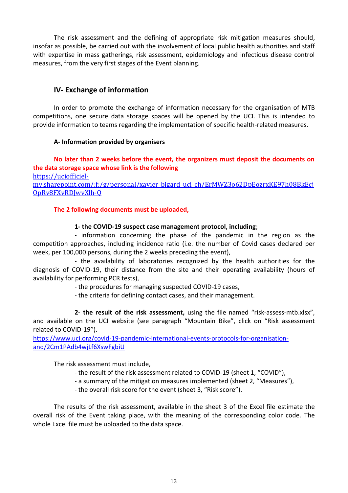The risk assessment and the defining of appropriate risk mitigation measures should, insofar as possible, be carried out with the involvement of local public health authorities and staff with expertise in mass gatherings, risk assessment, epidemiology and infectious disease control measures, from the very first stages of the Event planning.

# **IV- Exchange of information**

In order to promote the exchange of information necessary for the organisation of MTB competitions, one secure data storage spaces will be opened by the UCI. This is intended to provide information to teams regarding the implementation of specific health-related measures.

#### **A- Information provided by organisers**

**No later than 2 weeks before the event, the organizers must deposit the documents on the data storage space whose link is the following**  [https://uciofficiel-](https://uciofficiel-my.sharepoint.com/:f:/g/personal/xavier_bigard_uci_ch/ErMWZ3o62DpEozrxKE97h08BkEcjOpRv8FXvRDJwvXlh-Q)

[my.sharepoint.com/:f:/g/personal/xavier\\_bigard\\_uci\\_ch/ErMWZ3o62DpEozrxKE97h08BkEcj](https://uciofficiel-my.sharepoint.com/:f:/g/personal/xavier_bigard_uci_ch/ErMWZ3o62DpEozrxKE97h08BkEcjOpRv8FXvRDJwvXlh-Q) [OpRv8FXvRDJwvXlh-Q](https://uciofficiel-my.sharepoint.com/:f:/g/personal/xavier_bigard_uci_ch/ErMWZ3o62DpEozrxKE97h08BkEcjOpRv8FXvRDJwvXlh-Q)

# **The 2 following documents must be uploaded,**

#### **1- the COVID-19 suspect case management protocol, including**;

- information concerning the phase of the pandemic in the region as the competition approaches, including incidence ratio (i.e. the number of Covid cases declared per week, per 100,000 persons, during the 2 weeks preceding the event),

- the availability of laboratories recognized by the health authorities for the diagnosis of COVID-19, their distance from the site and their operating availability (hours of availability for performing PCR tests),

- the procedures for managing suspected COVID-19 cases,

- the criteria for defining contact cases, and their management.

**2- the result of the risk assessment,** using the file named "risk-assess-mtb.xlsx", and available on the UCI website (see paragraph "Mountain Bike", click on "Risk assessment related to COVID-19").

[https://www.uci.org/covid-19-pandemic-international-events-protocols-for-organisation](https://www.uci.org/covid-19-pandemic-international-events-protocols-for-organisation-and/2Cm1PAdb4wjLf6XswFgbiU)[and/2Cm1PAdb4wjLf6XswFgbiU](https://www.uci.org/covid-19-pandemic-international-events-protocols-for-organisation-and/2Cm1PAdb4wjLf6XswFgbiU)

The risk assessment must include,

- the result of the risk assessment related to COVID-19 (sheet 1, "COVID"),
- a summary of the mitigation measures implemented (sheet 2, "Measures"),
- the overall risk score for the event (sheet 3, "Risk score").

The results of the risk assessment, available in the sheet 3 of the Excel file estimate the overall risk of the Event taking place, with the meaning of the corresponding color code. The whole Excel file must be uploaded to the data space.